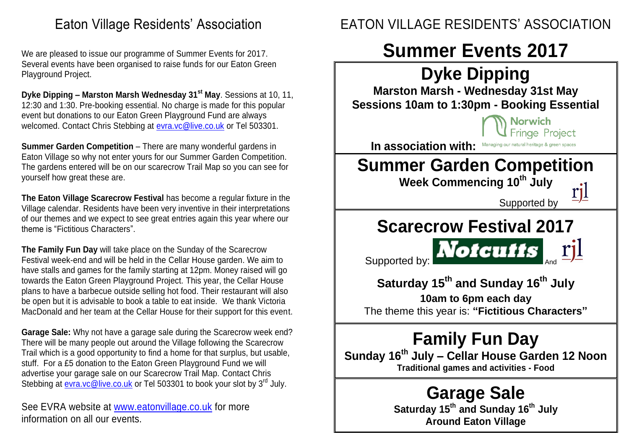## Eaton Village Residents' Association

We are pleased to issue our programme of Summer Events for 2017. Several events have been organised to raise funds for our Eaton Green Playground Project.

**Dyke Dipping – Marston Marsh Wednesday 31st May**. Sessions at 10, 11, 12:30 and 1:30. Pre-booking essential. No charge is made for this popular event but donations to our Eaton Green Playground Fund are always welcomed. Contact Chris Stebbing at [evra.vc@live.co.uk](mailto:evra.vc@live.co.uk) or Tel 503301.

**Summer Garden Competition** – There are many wonderful gardens in Eaton Village so why not enter yours for our Summer Garden Competition. The gardens entered will be on our scarecrow Trail Map so you can see for yourself how great these are.

**The Eaton Village Scarecrow Festival** has become a regular fixture in the Village calendar. Residents have been very inventive in their interpretations of our themes and we expect to see great entries again this year where our theme is "Fictitious Characters".

**The Family Fun Day** will take place on the Sunday of the Scarecrow Festival week-end and will be held in the Cellar House garden. We aim to have stalls and games for the family starting at 12pm. Money raised will go towards the Eaton Green Playground Project. This year, the Cellar House plans to have a barbecue outside selling hot food. Their restaurant will also be open but it is advisable to book a table to eat inside. We thank Victoria MacDonald and her team at the Cellar House for their support for this event.

**Garage Sale:** Why not have a garage sale during the Scarecrow week end? There will be many people out around the Village following the Scarecrow Trail which is a good opportunity to find a home for that surplus, but usable, stuff. For a £5 donation to the Eaton Green Playground Fund we will advertise your garage sale on our Scarecrow Trail Map. Contact Chris Stebbing at [evra.vc@live.co.uk](mailto:evra.vc@live.co.uk) or Tel 503301 to book your slot by 3<sup>rd</sup> July.

See EVRA website at [www.eatonvillage.co.uk](http://www.eatonvillage.co.uk/) for more information on all our events.

# EATON VILLAGE RESIDENTS' ASSOCIATION

# **Summer Events 2017**